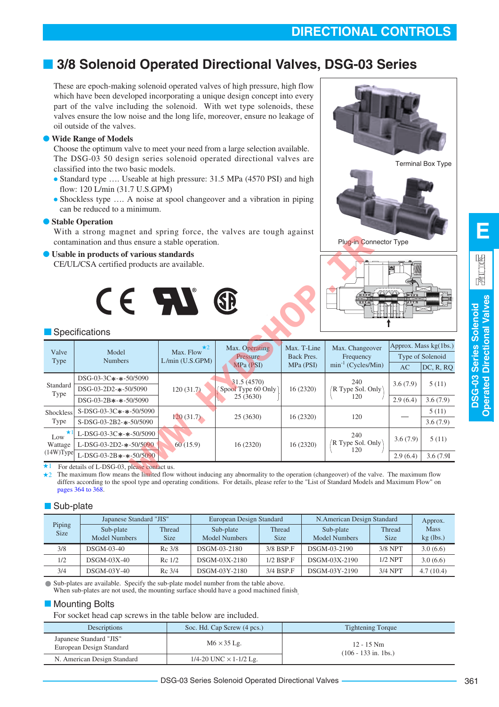# **DIRECTIONAL CONTROLS**

# ■ **3/8 Solenoid Operated Directional Valves, DSG-03 Series**

These are epoch-making solenoid operated valves of high pressure, high flow which have been developed incorporating a unique design concept into every part of the valve including the solenoid. With wet type solenoids, these valves ensure the low noise and the long life, moreover, ensure no leakage of oil outside of the valves.

### **Wide Range of Models**

Choose the optimum valve to meet your need from a large selection available. The DSG-03 50 design series solenoid operated directional valves are classified into the two basic models.

- Standard type .... Useable at high pressure: 31.5 MPa (4570 PSI) and high flow: 120 L/min (31.7 U.S.GPM)
- Shockless type .... A noise at spool changeover and a vibration in piping can be reduced to a minimum.

### ● **Stable Operation**

With a strong magnet and spring force, the valves are tough against contamination and thus ensure a stable operation.

### Usable in products of various standards







### **Specifications**

|                           | contamination and thus ensure a stable operation.                                                                                                                                                          |                                           |                                                | Plug-in Connector Type                 |                                                         |                      |                               |  |  |  |  |  |  |
|---------------------------|------------------------------------------------------------------------------------------------------------------------------------------------------------------------------------------------------------|-------------------------------------------|------------------------------------------------|----------------------------------------|---------------------------------------------------------|----------------------|-------------------------------|--|--|--|--|--|--|
|                           | ● Usable in products of various standards<br>CE/UL/CSA certified products are available.<br>$C \in \mathcal{M}$<br>$P$ <b>B</b> aad<br>SĐ<br>ਰ ਰਾਹ ਰ<br>⊣ঢ়াচতত<br>Specifications<br>Approx. Mass kg(1bs.) |                                           |                                                |                                        |                                                         |                      |                               |  |  |  |  |  |  |
| Valve<br>Type             | Model<br><b>Numbers</b>                                                                                                                                                                                    | $\star$ 2<br>Max. Flow<br>L/min (U.S.GPM) | Max. Operating<br>Pressure<br>MPa (PSI)        | Max. T-Line<br>Back Pres.<br>MPa (PSI) | Max. Changeover<br>Frequency<br>$min^{-1}$ (Cycles/Min) | AC                   | Type of Solenoid<br>DC, R, RQ |  |  |  |  |  |  |
| Standard<br>Type          | DSG-03-3C*-*-50/5090<br>DSG-03-2D2-*-50/5090<br>$DSG-03-2B$ *-*-50/5090                                                                                                                                    | 120(31.7)                                 | 31.5 (4570)<br>Spool Type 60 Only<br>25 (3630) | 16 (2320)                              | 240<br>R Type Sol. Only<br>120                          | 3.6(7.9)<br>2.9(6.4) | 5(11)<br>3.6(7.9)             |  |  |  |  |  |  |
| Shockless<br>Type         | $S-DSG-03-3C*-*-50/5090$<br>S-DSG-03-2B2-*-50/5090                                                                                                                                                         | 120(31.7)                                 | 25 (3630)                                      | 16 (2320)                              | 120                                                     |                      | 5(11)<br>3.6(7.9)             |  |  |  |  |  |  |
| $\star$<br>Low<br>Wattage | L-DSG-03-3C*-*-50/5090<br>L-DSG-03-2D2-*-50/5090                                                                                                                                                           | 60(15.9)                                  | 16 (2320)                                      | 16 (2320)                              | 240<br>$'R$ Type Sol. Only<br>120                       | 3.6(7.9)             | 5(11)                         |  |  |  |  |  |  |
| $(14W)$ Type              | L-DSG-03-2B $*$ - $*$ -50/5090                                                                                                                                                                             |                                           |                                                |                                        |                                                         | 2.9(6.4)             | 3.6 (7.91)                    |  |  |  |  |  |  |
| $\star$ 1<br>$\star$ 2    | For details of L-DSG-03, please contact us.<br>The maximum flow means the limited flow without inducing any abnormality to the operation (changeover) of the valve. The maximum flow                       |                                           |                                                |                                        |                                                         |                      |                               |  |  |  |  |  |  |

 $+2$ The maximum flow means the limited flow without inducing any abnormality to the operation (changeover) of the valve. The maximum flow differs according to the spool type and operating conditions. For details, please refer to the "List of Standard Models and Maximum Flow" on [pages 364 to 368.](#page-3-0)

## Sub-plate

|                       | Japanese Standard "JIS"    |                       | European Design Standard          |                              | N. American Design Standard       |                       | Approx.                    |
|-----------------------|----------------------------|-----------------------|-----------------------------------|------------------------------|-----------------------------------|-----------------------|----------------------------|
| Piping<br><b>Size</b> | Sub-plate<br>Model Numbers | Thread<br><b>Size</b> | Sub-plate<br><b>Model Numbers</b> | <b>Thread</b><br><b>Size</b> | Sub-plate<br><b>Model Numbers</b> | Thread<br><b>Size</b> | <b>Mass</b><br>$kg$ (lbs.) |
| 3/8                   | $DSGM-03-40$               | $Rc$ 3/8              | DSGM-03-2180                      | 3/8 BSP.F                    | DSGM-03-2190                      | 3/8 NPT               | 3.0(6.6)                   |
| 1/2                   | $DSGM-03X-40$              | Re 1/2                | DSGM-03X-2180                     | $1/2$ BSP.F                  | DSGM-03X-2190                     | $1/2$ NPT             | 3.0(6.6)                   |
| 3/4                   | $DSGM-03Y-40$              | Rc 3/4                | DSGM-03Y-2180                     | 3/4 BSP F                    | DSGM-03Y-2190                     | 3/4 NPT               | 4.7(10.4)                  |

Sub-plates are available. Specify the sub-plate model number from the table above. When sub-plates are not used, the mounting surface should have a good machined finish

## **Mounting Bolts**

For socket head cap screws in the table below are included.

| Descriptions                                        | Soc. Hd. Cap Screw (4 pcs.)   | <b>Tightening Torque</b>               |
|-----------------------------------------------------|-------------------------------|----------------------------------------|
| Japanese Standard "JIS"<br>European Design Standard | $M6 \times 35$ Lg.            | $12 - 15$ Nm<br>$(106 - 133$ in. 1bs.) |
| N. American Design Standard                         | 1/4-20 UNC $\times$ 1-1/2 Lg. |                                        |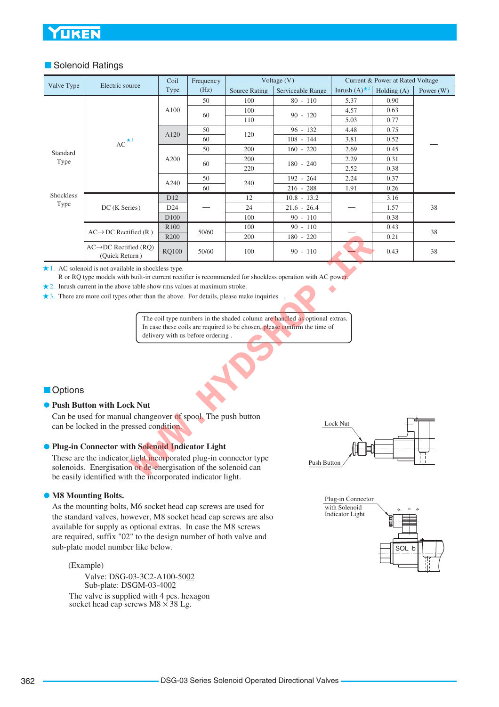# UKEN

## ■ Solenoid Ratings

| Valve Type                                                                                                                 | Electric source                                                                                                                                                                                                   | Coil | Frequency                         |                      | Voltage $(V)$                                                                                                                                           |                        | Current & Power at Rated Voltage |             |  |  |  |  |  |
|----------------------------------------------------------------------------------------------------------------------------|-------------------------------------------------------------------------------------------------------------------------------------------------------------------------------------------------------------------|------|-----------------------------------|----------------------|---------------------------------------------------------------------------------------------------------------------------------------------------------|------------------------|----------------------------------|-------------|--|--|--|--|--|
|                                                                                                                            |                                                                                                                                                                                                                   | Type | (Hz)                              | <b>Source Rating</b> | Serviceable Range                                                                                                                                       | Inrush $(A)^{\star 2}$ | Holding (A)                      | Power $(W)$ |  |  |  |  |  |
|                                                                                                                            |                                                                                                                                                                                                                   |      | 50                                | 100                  | $80 - 110$                                                                                                                                              | 5.37                   | 0.90                             |             |  |  |  |  |  |
|                                                                                                                            |                                                                                                                                                                                                                   | A100 | 60                                | 100                  | $90 - 120$                                                                                                                                              | 4.57                   | 0.63                             |             |  |  |  |  |  |
|                                                                                                                            |                                                                                                                                                                                                                   |      |                                   | 110                  |                                                                                                                                                         | 5.03                   | 0.77                             |             |  |  |  |  |  |
|                                                                                                                            |                                                                                                                                                                                                                   | A120 | 50                                | 120                  | $96 - 132$                                                                                                                                              | 4.48                   | 0.75                             |             |  |  |  |  |  |
|                                                                                                                            | $AC^{\star 1}$                                                                                                                                                                                                    |      | 60                                |                      | $108 - 144$                                                                                                                                             | 3.81                   | 0.52                             |             |  |  |  |  |  |
| Standard                                                                                                                   |                                                                                                                                                                                                                   |      | 50                                | 200                  | $160 - 220$                                                                                                                                             | 2.69                   | 0.45                             |             |  |  |  |  |  |
| Type                                                                                                                       |                                                                                                                                                                                                                   | A200 | 60                                | 200                  | $180 - 240$                                                                                                                                             | 2.29                   | 0.31                             |             |  |  |  |  |  |
|                                                                                                                            |                                                                                                                                                                                                                   |      |                                   | 220                  |                                                                                                                                                         | 2.52                   | 0.38                             |             |  |  |  |  |  |
|                                                                                                                            |                                                                                                                                                                                                                   | A240 | 50                                | 240                  | 192 - 264                                                                                                                                               | 2.24                   | 0.37                             |             |  |  |  |  |  |
|                                                                                                                            |                                                                                                                                                                                                                   |      | 60                                |                      | $216 - 288$                                                                                                                                             | 1.91                   | 0.26                             |             |  |  |  |  |  |
| <b>Shockless</b>                                                                                                           |                                                                                                                                                                                                                   | D12  |                                   | 12                   | $10.8 - 13.2$                                                                                                                                           |                        | 3.16                             |             |  |  |  |  |  |
| Type                                                                                                                       | DC (K Series)                                                                                                                                                                                                     | D24  |                                   | 24                   | $21.6 - 26.4$                                                                                                                                           |                        | 1.57                             | 38          |  |  |  |  |  |
| D100<br>$90 - 110$<br>0.38<br>100<br>$90 - 110$<br>R100<br>100<br>0.43<br>$AC \rightarrow DC$ Rectified (R)<br>50/60<br>38 |                                                                                                                                                                                                                   |      |                                   |                      |                                                                                                                                                         |                        |                                  |             |  |  |  |  |  |
|                                                                                                                            |                                                                                                                                                                                                                   |      |                                   |                      |                                                                                                                                                         |                        |                                  |             |  |  |  |  |  |
| R <sub>200</sub><br>200<br>$180 - 220$<br>0.21                                                                             |                                                                                                                                                                                                                   |      |                                   |                      |                                                                                                                                                         |                        |                                  |             |  |  |  |  |  |
| $AC \rightarrow DC$ Rectified (RQ)<br><b>RQ100</b><br>50/60<br>100<br>$90 - 110$<br>0.43<br>38<br>(Quick Return)           |                                                                                                                                                                                                                   |      |                                   |                      |                                                                                                                                                         |                        |                                  |             |  |  |  |  |  |
|                                                                                                                            | $\star$ 2. Inrush current in the above table show rms values at maximum stroke.<br>$\star$ 3. There are more coil types other than the above. For details, please make inquiries                                  |      | delivery with us before ordering. |                      | The coil type numbers in the shaded column are handled as optional extras.<br>In case these coils are required to be chosen, please confirm the time of |                        |                                  |             |  |  |  |  |  |
| <b>Options</b>                                                                                                             |                                                                                                                                                                                                                   |      |                                   |                      |                                                                                                                                                         |                        |                                  |             |  |  |  |  |  |
|                                                                                                                            | ● Push Button with Lock Nut                                                                                                                                                                                       |      |                                   |                      |                                                                                                                                                         |                        |                                  |             |  |  |  |  |  |
|                                                                                                                            | Can be used for manual changeover of spool. The push button<br>can be locked in the pressed condition.                                                                                                            |      |                                   |                      |                                                                                                                                                         | Lock Nut               |                                  |             |  |  |  |  |  |
|                                                                                                                            | <b>• Plug-in Connector with Solenoid Indicator Light</b>                                                                                                                                                          |      |                                   |                      |                                                                                                                                                         |                        |                                  |             |  |  |  |  |  |
|                                                                                                                            | These are the indicator light incorporated plug-in connector type<br>Push Button<br>solenoids. Energisation or de-energisation of the solenoid can<br>be easily identified with the incorporated indicator light. |      |                                   |                      |                                                                                                                                                         |                        |                                  |             |  |  |  |  |  |

### **Options**

### **• Push Button with Lock Nut**

### **Plug-in Connector with Solenoid Indicator Light**

These are the indicator light incorporated plug-in connector type solenoids. Energisation or de-energisation of the solenoid can be easily identified with the incorporated indicator light.

### **M8 Mounting Bolts.**

As the mounting bolts, M6 socket head cap screws are used for the standard valves, however, M8 socket head cap screws are also available for supply as optional extras. In case the M8 screws are required, suffix "02" to the design number of both valve and sub-plate model number like below.

#### (Example)

The valve is supplied with 4 pcs. hexagon socket head cap screws  $M8 \times 38$  Lg. Valve: DSG-03-3C2-A100-5002 Sub-plate: DSGM-03-4002



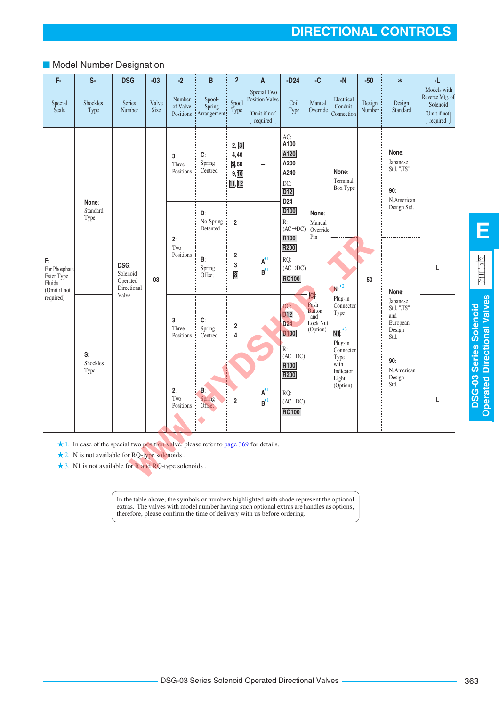## ■ Model Number Designation

| F-                                                          | S-                                                                                                                                                                                                                 | <b>DSG</b>                                  | $-03$         | $-2$                            | B                               | $\overline{2}$                           | $\boldsymbol{\mathsf{A}}$                                    | $-D24$                                                                                             | $-C$                                                                       | $-N$                                                                                                                             | $-50$            | $\ast$                                                             | -L                                                                        |
|-------------------------------------------------------------|--------------------------------------------------------------------------------------------------------------------------------------------------------------------------------------------------------------------|---------------------------------------------|---------------|---------------------------------|---------------------------------|------------------------------------------|--------------------------------------------------------------|----------------------------------------------------------------------------------------------------|----------------------------------------------------------------------------|----------------------------------------------------------------------------------------------------------------------------------|------------------|--------------------------------------------------------------------|---------------------------------------------------------------------------|
| Special<br>Seals                                            | Shockles<br>Type                                                                                                                                                                                                   | Series<br>Number                            | Valve<br>Size | Number<br>of Valve<br>Positions | Spool-<br>Spring<br>Arrangement | Spool<br>Type                            | Special Two<br>Position Valve<br>(Omit if not)<br>required ) | Coil<br>Type                                                                                       | Manual<br>Override                                                         | Electrical<br>Conduit<br>Connection                                                                                              | Design<br>Number | Design<br>Standard                                                 | Models with<br>Reverse Mtg. of<br>Solenoid<br>(Omit if not)<br>required ) |
|                                                             |                                                                                                                                                                                                                    |                                             |               | 3:<br>Three<br>Positions        | C:<br>Spring<br>Centred         | 2, 3<br>4,40<br>5,60<br>9, 10<br>11, 12  |                                                              | AC:<br>A100<br>A120<br>A200<br>A240<br>DC:<br>D <sub>12</sub><br>D <sub>24</sub>                   |                                                                            | None:<br>Terminal<br>Box Type                                                                                                    |                  | None:<br>Japanese<br>Std. "JIS"<br>90:<br>N.American               |                                                                           |
|                                                             | None:<br>Standard<br>Type                                                                                                                                                                                          |                                             |               | 2:                              | D:<br>No-Spring<br>Detented     | $\mathbf 2$                              |                                                              | D <sub>100</sub><br>R:<br>$(AC \rightarrow DC)$<br>R100                                            | None:<br>Manual<br>Override<br>Pin                                         |                                                                                                                                  |                  | Design Std.                                                        |                                                                           |
| F:<br>For Phosphate<br>Ester Type<br>Fluids<br>(Omit if not |                                                                                                                                                                                                                    | DSG:<br>Solenoid<br>Operated<br>Directional | 03            | Two<br>Positions                | B:<br>Spring<br>Offset          | $\overline{\mathbf{2}}$<br>3<br>$\bf{8}$ | $\textbf{A}^{\star 1}$<br>$B^{\star 1}$                      | R200<br>RQ:<br>$(AC \rightarrow DC)$<br><b>RQ100</b>                                               |                                                                            | $N:$ $*2$                                                                                                                        | 50               | None:                                                              | L                                                                         |
| required)                                                   | S:<br>Shockles                                                                                                                                                                                                     | Valve                                       |               | 3:<br>Three<br>Positions        | C:<br>Spring<br>Centred         | 2<br>4                                   |                                                              | DC:<br>D <sub>12</sub><br>D <sub>24</sub><br><b>D100</b><br>R:<br>$(AC \nD C)$<br>R <sub>100</sub> | $\boxed{0}$<br>Push<br><b>Button</b><br>and<br><b>Lock Nut</b><br>(Option) | Plug-in<br>Connector<br>Type<br>$\overline{\mathsf{N1}}$ : $\overline{\phantom{0}}^{*3}$<br>Plug-in<br>Connector<br>Type<br>with |                  | Japanese<br>Std. "JIS"<br>and<br>European<br>Design<br>Std.<br>90: |                                                                           |
|                                                             | Type                                                                                                                                                                                                               |                                             |               | 2:<br>Two<br>Positions          | B.<br>Spring<br>Offset ·        | $\overline{2}$                           | $\textbf{A}^{\star 1}$<br>$B^{\star 1}$                      | R200<br>RQ:<br>$(AC$ DC $)$<br><b>RQ100</b>                                                        |                                                                            | Indicator<br>Light<br>(Option)                                                                                                   |                  | N.American<br>Design<br>Std.                                       | L                                                                         |
|                                                             | $\star$ 1. In case of the special two position valve, please refer to page 369 for details.<br>$\star$ 2. N is not available for RQ-type solenoids.<br>$\star$ 3. N1 is not available for R and RQ-type solenoids. |                                             |               |                                 |                                 |                                          |                                                              |                                                                                                    |                                                                            |                                                                                                                                  |                  |                                                                    |                                                                           |

In the table above, the symbols or numbers highlighted with shade represent the optional extras. The valves with model number having such optional extras are handles as options, therefore, please confirm the time of delivery with us before ordering.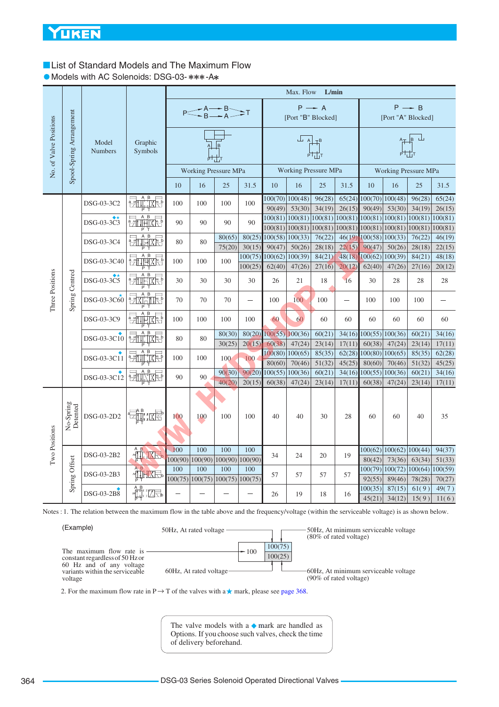## <span id="page-3-0"></span>**List of Standard Models and The Maximum Flow**

• Models with AC Solenoids: DSG-03-\*\*\*-A\*

|                                   |                          |                         |                                                                                                                                                                                                                                                                                                                                                                                                                                                                                                                                                                                                                                                                                                                                             |     |     |                                       |                          |                               | Max. Flow                     | L/min             |                  |                          |                                                                                 |                         |                |
|-----------------------------------|--------------------------|-------------------------|---------------------------------------------------------------------------------------------------------------------------------------------------------------------------------------------------------------------------------------------------------------------------------------------------------------------------------------------------------------------------------------------------------------------------------------------------------------------------------------------------------------------------------------------------------------------------------------------------------------------------------------------------------------------------------------------------------------------------------------------|-----|-----|---------------------------------------|--------------------------|-------------------------------|-------------------------------|-------------------|------------------|--------------------------|---------------------------------------------------------------------------------|-------------------------|----------------|
|                                   |                          |                         |                                                                                                                                                                                                                                                                                                                                                                                                                                                                                                                                                                                                                                                                                                                                             |     |     | $P \leq A \rightarrow B$ $T$          |                          |                               | [Port "B" Blocked]            | $P \rightarrow A$ |                  |                          | [Port "A" Blocked]                                                              | $P \rightarrow B$       |                |
| No. of Valve Positions            | Spool-Spring Arrangement | Model<br><b>Numbers</b> | Graphic<br>Symbols                                                                                                                                                                                                                                                                                                                                                                                                                                                                                                                                                                                                                                                                                                                          |     |     | B                                     |                          |                               | $L_{\rm A}$                   | ᆎᅶ                |                  |                          |                                                                                 | $A_{\perp}$ $B$ $\perp$ |                |
|                                   |                          |                         |                                                                                                                                                                                                                                                                                                                                                                                                                                                                                                                                                                                                                                                                                                                                             |     |     | <b>Working Pressure MPa</b>           |                          |                               | <b>Working Pressure MPa</b>   |                   |                  |                          | <b>Working Pressure MPa</b>                                                     |                         |                |
|                                   |                          |                         |                                                                                                                                                                                                                                                                                                                                                                                                                                                                                                                                                                                                                                                                                                                                             | 10  | 16  | 25                                    | 31.5                     | 10                            | 16                            | 25                | 31.5             | 10                       | 16                                                                              | 25                      | 31.5           |
|                                   |                          | DSG-03-3C2              | <del>ent i</del> xe                                                                                                                                                                                                                                                                                                                                                                                                                                                                                                                                                                                                                                                                                                                         | 100 | 100 | 100                                   | 100                      | 90(49)                        | $100(70)$ $100(48)$<br>53(30) | 96(28)<br>34(19)  | 65(24)<br>26(15) | 90(49)                   | $100(70)$ $100(48)$<br>53(30)                                                   | 96(28)<br>34(19)        | 65(24)         |
|                                   |                          |                         | A <sub>B</sub>                                                                                                                                                                                                                                                                                                                                                                                                                                                                                                                                                                                                                                                                                                                              |     |     |                                       |                          |                               |                               |                   |                  |                          | $100(81)   100(81)   100(81)   100(81)   100(81)   100(81)   100(81)   100(81)$ |                         | 26(15)         |
|                                   |                          | DSG-03-3C3              | <u>e Alihixe</u>                                                                                                                                                                                                                                                                                                                                                                                                                                                                                                                                                                                                                                                                                                                            | 90  | 90  | 90                                    | 90                       |                               | 100(81)   100(81)             | 100(81)           |                  |                          | 100(81) 100(81) 100(81) 100(81)                                                 |                         | 100(81)        |
|                                   |                          | DSG-03-3C4              | <b>Explorer</b>                                                                                                                                                                                                                                                                                                                                                                                                                                                                                                                                                                                                                                                                                                                             | 80  | 80  | 80(65)                                | 80(25)                   | 100(58) 100(33)               |                               | 76(22)            |                  | $46(19)$ 100(58) 100(33) |                                                                                 | 76(22)                  | 46(19)         |
|                                   |                          |                         |                                                                                                                                                                                                                                                                                                                                                                                                                                                                                                                                                                                                                                                                                                                                             |     |     | 75(20)                                | 30(15)                   | 90(47)                        | 50(26)                        | 28(18)            | 22(15)           | 90(47)                   | 50(26)                                                                          | 28(18)                  | 22(15)         |
|                                   |                          | DSG-03-3C40             | <b>EXPLANATION</b>                                                                                                                                                                                                                                                                                                                                                                                                                                                                                                                                                                                                                                                                                                                          | 100 | 100 | 100                                   |                          | $100(75)$ $100(62)$ $100(39)$ |                               | 84(21)            |                  | $48(18)$ $100(62)$       | 100(39)                                                                         | 84(21)                  | 48(18)         |
|                                   |                          |                         |                                                                                                                                                                                                                                                                                                                                                                                                                                                                                                                                                                                                                                                                                                                                             |     |     |                                       | 100(25)                  | 62(40)                        | 47(26)                        | 27(16)            | 20(12)           | 62(40)                   | 47(26)                                                                          | 27(16)                  | 20(12)         |
| Three Positions<br>Spring Centred |                          | DSG-03-3C5              | $\overline{B}$<br>$\frac{1}{2}$                                                                                                                                                                                                                                                                                                                                                                                                                                                                                                                                                                                                                                                                                                             | 30  | 30  | 30                                    | 30                       | 26                            | 21                            | 18                | 16               | 30                       | 28                                                                              | 28                      | 28             |
|                                   |                          | DSG-03-3C60             | $\begin{array}{c}\n\overrightarrow{AB} \\ \overrightarrow{AB} \\ \overrightarrow{BA} \\ \overrightarrow{AB} \\ \overrightarrow{AB} \\ \overrightarrow{AB} \\ \overrightarrow{AB} \\ \overrightarrow{AB} \\ \overrightarrow{AB} \\ \overrightarrow{AB} \\ \overrightarrow{AB} \\ \overrightarrow{AB} \\ \overrightarrow{AB} \\ \overrightarrow{AB} \\ \overrightarrow{AB} \\ \overrightarrow{AB} \\ \overrightarrow{AB} \\ \overrightarrow{AB} \\ \overrightarrow{AB} \\ \overrightarrow{AB} \\ \overrightarrow{AB} \\ \overrightarrow{AB} \\ \overrightarrow{AB} \\ \overrightarrow{AB} \\ \overrightarrow{AB} \\ \overrightarrow{AB} \\ \overrightarrow{AB} \\ \overrightarrow{AB} \\ \overrightarrow{AB} \\ \overrightarrow{AB} \\ \over$ | 70  | 70  | 70                                    | $\overline{\phantom{a}}$ | 100                           | 100                           | 100               |                  | 100                      | 100                                                                             | 100                     |                |
|                                   |                          | DSG-03-3C9              | $\frac{1}{2}$<br>地区岛                                                                                                                                                                                                                                                                                                                                                                                                                                                                                                                                                                                                                                                                                                                        | 100 | 100 | 100                                   | 100                      | 60                            | 60                            | 60                | 60               | 60                       | 60                                                                              | 60                      | 60             |
|                                   |                          | DSG-03-3C10             | $\beta$<br><b>EntilxE</b>                                                                                                                                                                                                                                                                                                                                                                                                                                                                                                                                                                                                                                                                                                                   | 80  | 80  | 80(30)                                | 80(20)                   | $100(55)$ $100(36)$           |                               | 60(21)            |                  |                          | $34(16)$ 100(55) 100(36)                                                        | 60(21)                  | 34(16)         |
|                                   |                          |                         |                                                                                                                                                                                                                                                                                                                                                                                                                                                                                                                                                                                                                                                                                                                                             |     |     | 30(25)                                | 20(15)                   | 60(38)                        | 47(24)                        | 23(14)            | 17(11)           | 60(38)                   | 47(24)                                                                          | 23(14)                  | 17(11)         |
|                                   |                          | DSG-03-3C11             | <b>PATTLIXKE</b>                                                                                                                                                                                                                                                                                                                                                                                                                                                                                                                                                                                                                                                                                                                            | 100 | 100 | 100                                   | 100                      | 100(80)   100(65)             |                               | 85(35)            | 62(28)           |                          | 100(80) 100(65)                                                                 | 85(35)                  | 62(28)         |
|                                   |                          |                         | $\beta$                                                                                                                                                                                                                                                                                                                                                                                                                                                                                                                                                                                                                                                                                                                                     |     |     |                                       |                          | 80(60)                        | 70(46)                        | 51(32)            | 45(25)           | 80(60)                   | 70(46)                                                                          | 51(32)                  | 45(25)         |
|                                   |                          | DSG-03-3C12             | <b>PATILYIXEE</b>                                                                                                                                                                                                                                                                                                                                                                                                                                                                                                                                                                                                                                                                                                                           | 90  | 90  | 90(30)<br>40(20)                      | 90(20)<br>20(15)         | 100(55)<br>60(38)             | 100(36)                       | 60(21)            | 34(16)           | 100(55)<br>60(38)        | 100(36)                                                                         | 60(21)                  | 34(16)         |
|                                   |                          |                         |                                                                                                                                                                                                                                                                                                                                                                                                                                                                                                                                                                                                                                                                                                                                             |     |     |                                       |                          |                               | 47(24)                        | 23(14)            | 17(11)           |                          | 47(24)                                                                          | 23(14)                  | 17(11)         |
|                                   | No-Spring<br>Detented    | DSG-03-2D2              | t-lii: IXE'                                                                                                                                                                                                                                                                                                                                                                                                                                                                                                                                                                                                                                                                                                                                 | 100 | 100 | 100                                   | 100                      | 40                            | 40                            | 30                | 28               | 60                       | 60                                                                              | 40                      | 35             |
|                                   |                          |                         |                                                                                                                                                                                                                                                                                                                                                                                                                                                                                                                                                                                                                                                                                                                                             |     |     |                                       |                          |                               |                               |                   |                  |                          |                                                                                 |                         |                |
| Two Positions                     |                          | DSG-03-2B2              |                                                                                                                                                                                                                                                                                                                                                                                                                                                                                                                                                                                                                                                                                                                                             | 100 | 100 | 100                                   | 100                      | 34                            | 24                            | 20                | 19               |                          | 100(62)   100(62)   100(44)                                                     |                         | 94(37)         |
|                                   | Spring Offset            |                         |                                                                                                                                                                                                                                                                                                                                                                                                                                                                                                                                                                                                                                                                                                                                             |     |     | 100(90) 100(90) 100(90) 100(90)       |                          |                               |                               |                   |                  | 80(42)                   | 73(36)                                                                          | 63(34)                  | 51(33)         |
|                                   |                          | DSG-03-2B3              | <b>ALIHXE</b>                                                                                                                                                                                                                                                                                                                                                                                                                                                                                                                                                                                                                                                                                                                               | 100 | 100 | 100                                   | 100                      | 57                            | 57                            | 57                | 57               |                          | 100(79)  100(72)  100(64)                                                       |                         | 100(59)        |
|                                   |                          |                         |                                                                                                                                                                                                                                                                                                                                                                                                                                                                                                                                                                                                                                                                                                                                             |     |     | 100(75)   100(75)   100(75)   100(75) |                          |                               |                               |                   |                  | 92(55)                   | 89(46)                                                                          | 78(28)                  | 70(27)         |
|                                   |                          | DSG-03-2B8              | <sub>ऀ</sub>                                                                                                                                                                                                                                                                                                                                                                                                                                                                                                                                                                                                                                                                                                                                |     |     |                                       |                          | 26                            | 19                            | 18                | 16               | 100(35)<br>45(21)        | 87(15)<br>34(12)                                                                | 61(9)<br>15(9)          | 49(7)<br>11(6) |
|                                   |                          |                         |                                                                                                                                                                                                                                                                                                                                                                                                                                                                                                                                                                                                                                                                                                                                             |     |     |                                       |                          |                               |                               |                   |                  |                          |                                                                                 |                         |                |

Notes : 1. The relation between the maximum flow in the table above and the frequency/voltage (within the serviceable voltage) is as shown below.

| (Example)                                                                                                                             | 50Hz, At rated voltage  |                              | 50Hz, At minimum serviceable voltage<br>$(80\% \text{ of rated voltage})$ |
|---------------------------------------------------------------------------------------------------------------------------------------|-------------------------|------------------------------|---------------------------------------------------------------------------|
| The maximum flow rate is<br>constant regardless of 50 Hz or<br>60 Hz and of any voltage<br>variants within the serviceable<br>voltage | 60Hz, At rated voltage- | 100(75)<br>$-100$<br>100(25) | 60Hz, At minimum serviceable voltage<br>$(90\% \text{ of rated voltage})$ |

2. For the maximum flow rate in P  $\rightarrow$  T of the valves with a  $\star$  mark, please see [page 368](#page-7-0).

The valve models with a  $\blacklozenge$  mark are handled as Options. If you choose such valves, check the time of delivery beforehand.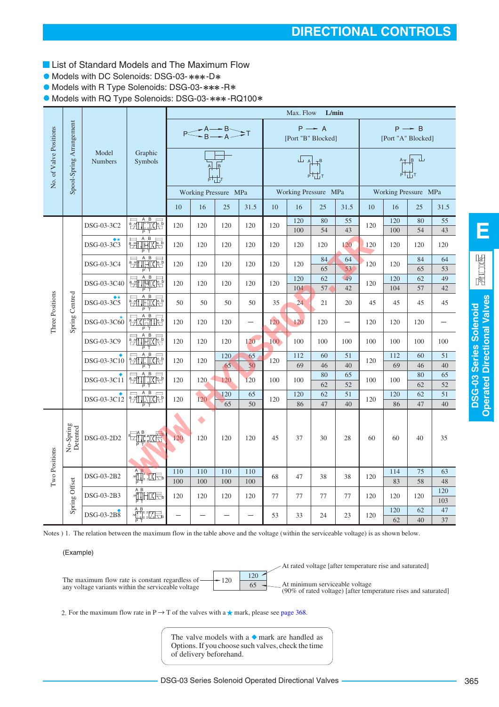- **List of Standard Models and The Maximum Flow**
- Models with DC Solenoids: DSG-03-\*\*\*-D\*
- **Models with R Type Solenoids: DSG-03-\*\*\*-R\***

 $\bullet$  Models with RQ Type Solenoids: DSG-03-\*\*\*-RQ100\*

|                        |                          |                         |                                                                                                                                                                                                                                                                                                                                                     |                          |            |                            |            |                  | Max. Flow                                                                                                                                           | L/min                                   |                   |     |                      |                                                                                                                                                                                                                                                                                                                                             |                  |
|------------------------|--------------------------|-------------------------|-----------------------------------------------------------------------------------------------------------------------------------------------------------------------------------------------------------------------------------------------------------------------------------------------------------------------------------------------------|--------------------------|------------|----------------------------|------------|------------------|-----------------------------------------------------------------------------------------------------------------------------------------------------|-----------------------------------------|-------------------|-----|----------------------|---------------------------------------------------------------------------------------------------------------------------------------------------------------------------------------------------------------------------------------------------------------------------------------------------------------------------------------------|------------------|
|                        |                          |                         |                                                                                                                                                                                                                                                                                                                                                     |                          |            | $P \leq A \rightarrow B$ T |            |                  |                                                                                                                                                     | $P \rightarrow A$<br>[Port "B" Blocked] |                   |     | [Port "A" Blocked]   | $P \rightarrow B$                                                                                                                                                                                                                                                                                                                           |                  |
| No. of Valve Positions | Spool-Spring Arrangement | Model<br><b>Numbers</b> | Graphic<br>Symbols                                                                                                                                                                                                                                                                                                                                  |                          |            |                            |            |                  | $\begin{array}{c c c c} \hline & & & & \\\hline & & & & \\\hline & & & & \\\hline & & & & \\\hline & & & & \\\hline & & & & & \\\hline \end{array}$ |                                         |                   |     |                      | $\begin{picture}(120,115) \put(0,0){\line(1,0){150}} \put(15,0){\line(1,0){150}} \put(15,0){\line(1,0){150}} \put(15,0){\line(1,0){150}} \put(15,0){\line(1,0){150}} \put(15,0){\line(1,0){150}} \put(15,0){\line(1,0){150}} \put(15,0){\line(1,0){150}} \put(15,0){\line(1,0){150}} \put(15,0){\line(1,0){150}} \put(15,0){\line(1,0){150$ |                  |
|                        |                          |                         |                                                                                                                                                                                                                                                                                                                                                     |                          |            | Working Pressure MPa       |            |                  |                                                                                                                                                     | Working Pressure MPa                    |                   |     | Working Pressure MPa |                                                                                                                                                                                                                                                                                                                                             |                  |
|                        |                          |                         |                                                                                                                                                                                                                                                                                                                                                     | 10                       | 16         | 25                         | 31.5       | 10               | 16                                                                                                                                                  | 25                                      | 31.5              | 10  | 16                   | 25                                                                                                                                                                                                                                                                                                                                          | 31.5             |
|                        |                          | DSG-03-3C2              | $\frac{1}{2}$ $\frac{1}{2}$ $\frac{1}{2}$ $\frac{1}{2}$ $\frac{1}{2}$ $\frac{1}{2}$ $\frac{1}{2}$ $\frac{1}{2}$ $\frac{1}{2}$ $\frac{1}{2}$ $\frac{1}{2}$ $\frac{1}{2}$ $\frac{1}{2}$ $\frac{1}{2}$ $\frac{1}{2}$ $\frac{1}{2}$ $\frac{1}{2}$ $\frac{1}{2}$ $\frac{1}{2}$ $\frac{1}{2}$ $\frac{1}{2}$ $\frac{1}{2}$<br>Т                            | 120                      | 120        | 120                        | 120        | 120              | 120<br>100                                                                                                                                          | 80<br>54                                | 55<br>43          | 120 | 120<br>100           | 80<br>54                                                                                                                                                                                                                                                                                                                                    | 55<br>43         |
|                        |                          | DSG-03-3C3              | <b>Exception</b>                                                                                                                                                                                                                                                                                                                                    | 120                      | 120        | 120                        | 120        | 120              | 120                                                                                                                                                 | 120                                     | 120               | 120 | 120                  | 120                                                                                                                                                                                                                                                                                                                                         | 120              |
|                        |                          | DSG-03-3C4              | <b>Printi</b> xe                                                                                                                                                                                                                                                                                                                                    | 120                      | 120        | 120                        | 120        | 120              | 120                                                                                                                                                 | 84<br>65                                | 64<br>53          | 120 | 120                  | 84<br>65                                                                                                                                                                                                                                                                                                                                    | 64<br>53         |
|                        |                          | DSG-03-3C40             | <b>THAR</b><br>箚                                                                                                                                                                                                                                                                                                                                    | 120                      | 120        | 120                        | 120        | 120              | 120<br>104                                                                                                                                          | 62<br>57                                | 49<br>42          | 120 | 120<br>104           | 62<br>57                                                                                                                                                                                                                                                                                                                                    | 49<br>42         |
|                        |                          | DSG-03-3C5              | $\begin{array}{c}\nA & B \\ \hline\n\end{array}$<br>$\overline{2}$                                                                                                                                                                                                                                                                                  | 50                       | 50         | 50                         | 50         | 35               | 24                                                                                                                                                  | 21                                      | 20                | 45  | 45                   | 45                                                                                                                                                                                                                                                                                                                                          | 45               |
| Three Positions        | Spring Centred           | DSG-03-3C60             | <b>EXHILE</b>                                                                                                                                                                                                                                                                                                                                       | 120                      | 120        | 120                        | $\equiv$   | 120              | 120                                                                                                                                                 | 120                                     | $\qquad \qquad -$ | 120 | 120                  | 120                                                                                                                                                                                                                                                                                                                                         |                  |
|                        |                          | DSG-03-3C9              | 神经<br>翮                                                                                                                                                                                                                                                                                                                                             | 120                      | 120        | 120                        | 120        | 100 <sup>o</sup> | 100                                                                                                                                                 | 100                                     | 100               | 100 | 100                  | 100                                                                                                                                                                                                                                                                                                                                         | 100              |
|                        |                          | DSG-03-3C10             | <b>Except</b>                                                                                                                                                                                                                                                                                                                                       | 120                      | 120        | 120<br>65                  | 65<br>50   | 120              | 112<br>69                                                                                                                                           | 60<br>46                                | 51<br>40          | 120 | 112<br>69            | 60<br>46                                                                                                                                                                                                                                                                                                                                    | 51<br>40         |
|                        |                          | DSG-03-3C11             | <b>Print</b> ixe<br>P                                                                                                                                                                                                                                                                                                                               | 120                      | 120        | 120                        | 120        | 100              | 100                                                                                                                                                 | 80<br>62                                | 65<br>52          | 100 | 100                  | 80<br>62                                                                                                                                                                                                                                                                                                                                    | 65<br>52         |
|                        |                          | DSG-03-3C12             | $\overline{B}$<br>Ą<br><b>PATILIZIE</b>                                                                                                                                                                                                                                                                                                             | 120                      | 120        | 120<br>65                  | 65<br>50   | 120              | 120<br>86                                                                                                                                           | 62<br>47                                | 51<br>40          | 120 | 120<br>86            | 62<br>47                                                                                                                                                                                                                                                                                                                                    | 51<br>40         |
|                        | No-Spring<br>Detented    | DSG-03-2D2              | I: IXR                                                                                                                                                                                                                                                                                                                                              | 120                      | 120        | 120                        | 120        | 45               | 37                                                                                                                                                  | 30                                      | 28                | 60  | 60                   | 40                                                                                                                                                                                                                                                                                                                                          | 35               |
| Two Positions          |                          | DSG-03-2B2              | $\begin{picture}(120,115) \put(0,0){\line(1,0){15}} \put(15,0){\line(1,0){15}} \put(15,0){\line(1,0){15}} \put(15,0){\line(1,0){15}} \put(15,0){\line(1,0){15}} \put(15,0){\line(1,0){15}} \put(15,0){\line(1,0){15}} \put(15,0){\line(1,0){15}} \put(15,0){\line(1,0){15}} \put(15,0){\line(1,0){15}} \put(15,0){\line(1,0){15}} \put(15,0){\line$ | 110<br>100               | 110<br>100 | 110<br>100                 | 110<br>100 | 68               | 47                                                                                                                                                  | 38                                      | 38                | 120 | 114<br>83            | 75<br>58                                                                                                                                                                                                                                                                                                                                    | 63               |
|                        | Spring Offset            | DSG-03-2B3              | $\begin{picture}(120,10) \put(0,0){\line(1,0){15}} \put(15,0){\line(1,0){15}} \put(15,0){\line(1,0){15}} \put(15,0){\line(1,0){15}} \put(15,0){\line(1,0){15}} \put(15,0){\line(1,0){15}} \put(15,0){\line(1,0){15}} \put(15,0){\line(1,0){15}} \put(15,0){\line(1,0){15}} \put(15,0){\line(1,0){15}} \put(15,0){\line(1,0){15}} \put(15,0){\line($ | 120                      | 120        | 120                        | 120        | 77               | 77                                                                                                                                                  | 77                                      | 77                | 120 | 120                  | 120                                                                                                                                                                                                                                                                                                                                         | 48<br>120<br>103 |
|                        |                          | DSG-03-2B8              | $\begin{picture}(130,10) \put(0,0){\line(1,0){15}} \put(15,0){\line(1,0){15}} \put(15,0){\line(1,0){15}} \put(15,0){\line(1,0){15}} \put(15,0){\line(1,0){15}} \put(15,0){\line(1,0){15}} \put(15,0){\line(1,0){15}} \put(15,0){\line(1,0){15}} \put(15,0){\line(1,0){15}} \put(15,0){\line(1,0){15}} \put(15,0){\line(1,0){15}} \put(15,0){\line($ | $\overline{\phantom{0}}$ |            |                            |            | 53               | 33                                                                                                                                                  | 24                                      | 23                | 120 | 120<br>62            | 62<br>40                                                                                                                                                                                                                                                                                                                                    | 47<br>37         |

Notes ) 1. The relation between the maximum flow in the table above and the voltage (within the serviceable voltage) is as shown below.

(Example)



2. For the maximum flow rate in P  $\rightarrow$  T of the valves with a  $\star$  mark, please see [page 368.](#page-7-0)

The valve models with a  $\bullet$  mark are handled as Options. If you choose such valves, check the time of delivery beforehand.

**E**

园山区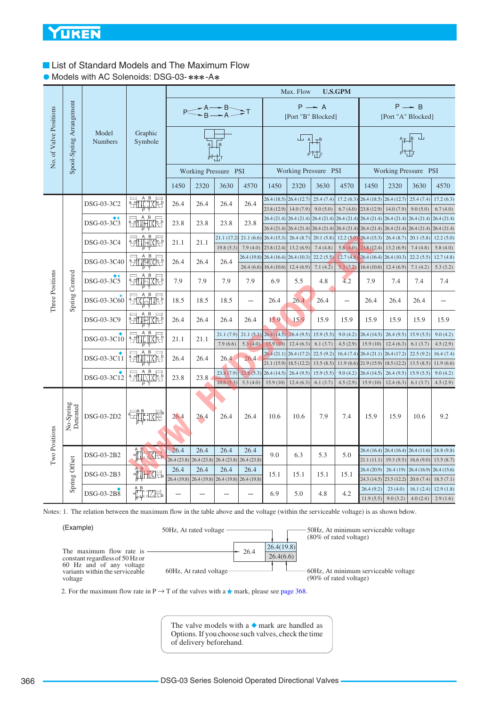## **List of Standard Models and The Maximum Flow**

• Models with AC Solenoids: DSG-03-\*\*\*-A\*

|                                   |                          |                         |                                                                                                                                                                                                                                                                                                                                                                                      |      |      |                                                         |            |                                                        | Max. Flow                                                                            |                        | <b>U.S.GPM</b>           |                          |                                       |                         |                         |
|-----------------------------------|--------------------------|-------------------------|--------------------------------------------------------------------------------------------------------------------------------------------------------------------------------------------------------------------------------------------------------------------------------------------------------------------------------------------------------------------------------------|------|------|---------------------------------------------------------|------------|--------------------------------------------------------|--------------------------------------------------------------------------------------|------------------------|--------------------------|--------------------------|---------------------------------------|-------------------------|-------------------------|
|                                   |                          |                         |                                                                                                                                                                                                                                                                                                                                                                                      |      |      | $P \leq A \rightarrow B$ T                              |            |                                                        | [Port "B" Blocked]                                                                   | $P \rightarrow A$      |                          |                          | [Port "A" Blocked]                    | $P \rightarrow B$       |                         |
| No. of Valve Positions            | Spool-Spring Arrangement | Model<br><b>Numbers</b> | Graphic<br>Symbole                                                                                                                                                                                                                                                                                                                                                                   |      |      | $\sqrt{B}$                                              |            |                                                        | $\frac{1}{A}$ $\frac{1}{A}$                                                          |                        |                          |                          |                                       | $A + B$                 |                         |
|                                   |                          |                         |                                                                                                                                                                                                                                                                                                                                                                                      |      |      | Working Pressure PSI                                    |            |                                                        | Working Pressure PSI                                                                 |                        |                          |                          | Working Pressure PSI                  |                         |                         |
|                                   |                          |                         |                                                                                                                                                                                                                                                                                                                                                                                      | 1450 | 2320 | 3630                                                    | 4570       | 1450                                                   | 2320                                                                                 | 3630                   | 4570                     | 1450                     | 2320                                  | 3630                    | 4570                    |
|                                   |                          | DSG-03-3C2              | $\overline{2}$ $\overline{1}$ $\overline{1}$ $\overline{1}$ $\overline{1}$ $\overline{1}$ $\overline{2}$ $\overline{1}$ $\overline{2}$ $\overline{1}$ $\overline{1}$ $\overline{2}$ $\overline{1}$ $\overline{2}$ $\overline{2}$ $\overline{1}$ $\overline{1}$ $\overline{2}$ $\overline{1}$ $\overline{2}$ $\overline{2}$ $\overline{2}$ $\overline{2}$ $\overline{2}$ $\overline{$ | 26.4 | 26.4 | 26.4                                                    | 26.4       | 23.8(12.9)                                             | 26.4 (18.5) 26.4 (12.7)<br>14.0(7.9)                                                 | 25.4(7.4)<br>9.0(5.0)  | 17.2(6.3)<br>6.7(4.0)    | 26.4(18.5)<br>23.8(12.9) | 26.4(12.7)<br>14.0(7.9)               | 25.4(7.4)<br>9.0(5.0)   | 17.2(6.3)<br>6.7(4.0)   |
|                                   |                          | DSG-03-3C3              | <b>PATTHIXES</b>                                                                                                                                                                                                                                                                                                                                                                     | 23.8 | 23.8 | 23.8                                                    | 23.8       |                                                        | $26.4(21.4)$ $26.4(21.4)$ $26.4(21.4)$ $26.4(21.4)$                                  |                        |                          |                          | $26.4(21.4)$ $26.4(21.4)$             | 26.4(21.4)              | 26.4(21.4)              |
|                                   |                          | DSG-03-3C4              | $\frac{1}{\sqrt{1+\frac{1}{2}}}\frac{1}{\sqrt{1+\frac{1}{2}}}\left( \frac{1}{\sqrt{1+\frac{1}{2}}}\right)$<br>袻                                                                                                                                                                                                                                                                      | 21.1 | 21.1 | 21.1 (17.2)                                             | 21.1(6.6)  | 26.4(15.3)                                             | 26.4 (21.4) 26.4 (21.4) 26.4 (21.4) 26.4 (21.4) 26.4 (21.4) 26.4 (21.4)<br>26.4(8.7) | 20.1(5.8)              |                          | $12.2(5.0)$ 26.4 (15.3)  | 26.4(8.7)                             | 26.4(21.4)<br>20.1(5.8) | 26.4(21.4)<br>12.2(5.0) |
|                                   |                          |                         |                                                                                                                                                                                                                                                                                                                                                                                      |      |      | 19.8(5.3)                                               | 7.9(4.0)   | 23.8 (12.4)                                            | 13.2(6.9)                                                                            | 7.4(4.8)               | 5.8(4.0)                 | 23.8(12.4)               | 13.2(6.9)                             | 7.4(4.8)                | 5.8(4.0)                |
| Three Positions<br>Spring Centred |                          | DSG-03-3C40             | 幡母<br>$\frac{1}{2}$                                                                                                                                                                                                                                                                                                                                                                  | 26.4 | 26.4 | 26.4                                                    | 26.4(19.8) | $26.4(16.4)$ $26.4(10.3)$<br>$26.4(6.6)$ 16.4 $(10.6)$ | 12.4(6.9)                                                                            | 22.2(5.5)<br>7.1(4.2)  | 12.7(4.8)<br>5.3(3.2)    | 16.4(10.6)               | $26.4(16.4)$ 26.4 (10.3)<br>12.4(6.9) | 22.2(5.5)<br>7.1(4.2)   | 12.7(4.8)<br>5.3(3.2)   |
|                                   |                          | DSG-03-3C5              | <b>Extractor</b>                                                                                                                                                                                                                                                                                                                                                                     | 7.9  | 7.9  | 7.9                                                     | 7.9        | 6.9                                                    | 5.5                                                                                  | 4.8                    | 4.2                      | 7.9                      | 7.4                                   | 7.4                     | 7.4                     |
|                                   |                          | DSG-03-3C60             | extine                                                                                                                                                                                                                                                                                                                                                                               | 18.5 | 18.5 | 18.5                                                    | $\equiv$   | 26.4                                                   | 26.4                                                                                 | 26.4                   | $\overline{\phantom{0}}$ | 26.4                     | 26.4                                  | 26.4                    |                         |
|                                   |                          | DSG-03-3C9              | $\mathbf{B}$<br>经前期来                                                                                                                                                                                                                                                                                                                                                                 | 26.4 | 26.4 | 26.4                                                    | 26.4       | 15.9                                                   | 15.9                                                                                 | 15.9                   | 15.9                     | 15.9                     | 15.9                                  | 15.9                    | 15.9                    |
|                                   |                          | DSG-03-3C10             | <b>Put IXE</b>                                                                                                                                                                                                                                                                                                                                                                       | 21.1 | 21.1 | 21.1(7.9)                                               | 21.1(5.3)  | 26.4(14.5)                                             | 26.4(9.5)                                                                            | 15.9(5.5)              | 9.0(4.2)                 | 26.4(14.5)               | 26.4(9.5)                             | 15.9(5.5)               | 9.0(4.2)                |
|                                   |                          |                         |                                                                                                                                                                                                                                                                                                                                                                                      |      |      | 7.9(6.6)                                                | 5.3(4.0)   | 15.9(10)                                               | 12.4(6.3)                                                                            | 6.1(3.7)               | 4.5(2.9)                 | 15.9(10)                 | 12.4(6.3)                             | 6.1(3.7)                | 4.5(2.9)                |
|                                   |                          | DSG-03-3C11             | B,<br>٩M                                                                                                                                                                                                                                                                                                                                                                             | 26.4 | 26.4 | 26.4                                                    | 26.4       |                                                        | $26.4(21.1)$ 26.4 (17.2)<br>$21.1(15.9)$ 18.5 (12.2)                                 | 22.5(9.2)<br>13.5(8.5) | 16.4(7.4)                | $11.9(6.6)$ 21.9 (15.9)  | 26.4 (21.1) 26.4 (17.2)<br>18.5(12.2) | 22.5(9.2)<br>13.5(8.5)  | 16.4(7.4)<br>11.9(6.6)  |
|                                   |                          | DSG-03-3C12             | $\overline{B}$<br><b>Enixixe</b>                                                                                                                                                                                                                                                                                                                                                     | 23.8 | 23.8 | 23.8(7.9)                                               | 23.8(5.3)  | 26.4(14.5)                                             | 26.4(9.5)                                                                            | 15.9(5.5)              | 9.0(4.2)                 | 26.4(14.5)               | 26.4(9.5)                             | 15.9(5.5)               | 9.0(4.2)                |
|                                   |                          |                         |                                                                                                                                                                                                                                                                                                                                                                                      |      |      | 10.6(5.3)                                               | 5.3(4.0)   | 15.9(10)                                               | 12.4(6.3)                                                                            | 6.1(3.7)               | 4.5(2.9)                 | 15.9(10)                 | 12.4(6.3)                             | 6.1(3.7)                | 4.5(2.9)                |
|                                   | No-Spring<br>Detented    | DSG-03-2D2              | - 그대 18년                                                                                                                                                                                                                                                                                                                                                                             | 26.4 | 26.4 | 26.4                                                    | 26.4       | 10.6                                                   | 10.6                                                                                 | 7.9                    | 7.4                      | 15.9                     | 15.9                                  | 10.6                    | 9.2                     |
| Two Positions                     |                          | DSG-03-2B2              | <b>ALLERE</b>                                                                                                                                                                                                                                                                                                                                                                        | 26.4 | 26.4 | 26.4                                                    | 26.4       | 9.0                                                    | 6.3                                                                                  | 5.3                    | 5.0                      |                          | 26.4 (16.4) 26.4 (16.4) 26.4 (11.6)   |                         | 24.8(9.8)               |
|                                   |                          |                         |                                                                                                                                                                                                                                                                                                                                                                                      |      |      | 26.4 (23.8) 26.4 (23.8) 26.4 (23.8) 26.4 (23.8)         |            |                                                        |                                                                                      |                        |                          | 21.1(11.1)               | 19.3(9.5)                             | 16.6(9.0)               | 13.5(8.7)               |
|                                   | Spring Offset            | DSG-03-2B3              |                                                                                                                                                                                                                                                                                                                                                                                      | 26.4 | 26.4 | 26.4<br>26.4 (19.8) 26.4 (19.8) 26.4 (19.8) 26.4 (19.8) | 26.4       | 15.1                                                   | 15.1                                                                                 | 15.1                   | 15.1                     | 26.4(20.9)               | 26.4(19)<br>24.3 (14.5) 23.5 (12.2)   | 26.4(16.9)<br>20.6(7.4) | 26.4(15.6)<br>18.5(7.1) |
|                                   |                          | DSG-03-2B8              | $\begin{picture}(120,10) \put(0,0){\line(1,0){15}} \put(15,0){\line(1,0){15}} \put(15,0){\line(1,0){15}} \put(15,0){\line(1,0){15}} \put(15,0){\line(1,0){15}} \put(15,0){\line(1,0){15}} \put(15,0){\line(1,0){15}} \put(15,0){\line(1,0){15}} \put(15,0){\line(1,0){15}} \put(15,0){\line(1,0){15}} \put(15,0){\line(1,0){15}} \put(15,0){\line($                                  |      |      |                                                         |            | 6.9                                                    | 5.0                                                                                  | 4.8                    | 4.2                      | 26.4(9.2)<br>11.9(5.5)   | 23(4.0)<br>9.0(3.2)                   | 16.1(2.4)<br>4.0(2.4)   | 12.9(1.8)<br>2.9(1.6)   |

Notes: 1. The relation between the maximum flow in the table above and the voltage (within the serviceable voltage) is as shown below.



2. For the maximum flow rate in P  $\rightarrow$  T of the valves with a  $\star$  mark, please see [page 368.](#page-7-0)

The valve models with a  $\bullet$  mark are handled as Options. If you choose such valves, check the time of delivery beforehand.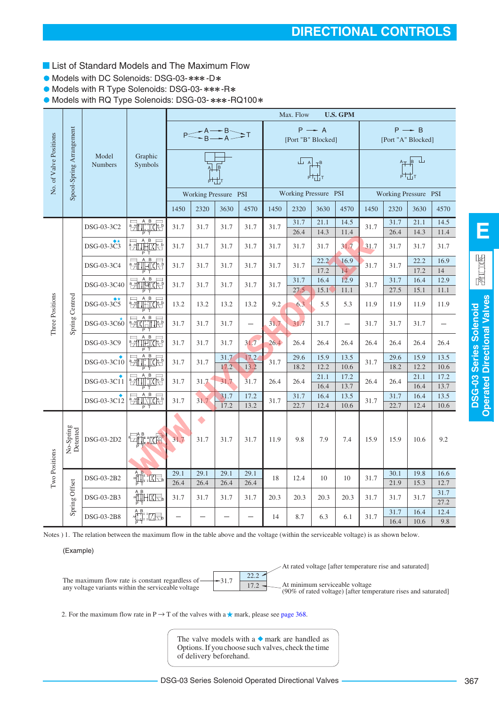- **List of Standard Models and The Maximum Flow**
- Models with DC Solenoids: DSG-03-\*\*\*-D\*
- Models with R Type Solenoids: DSG-03-\*\*\*-R\*

 $\bullet$  Models with RQ Type Solenoids: DSG-03- \*\*\*-RQ100\*

|                        |                          |                         |                                                                                                                                                                                                                                                                                                                                                     |      |                   |                          |                          |      | Max. Flow        |                                         | <b>U.S. GPM</b>          |      |                      |                         |              |
|------------------------|--------------------------|-------------------------|-----------------------------------------------------------------------------------------------------------------------------------------------------------------------------------------------------------------------------------------------------------------------------------------------------------------------------------------------------|------|-------------------|--------------------------|--------------------------|------|------------------|-----------------------------------------|--------------------------|------|----------------------|-------------------------|--------------|
|                        |                          |                         |                                                                                                                                                                                                                                                                                                                                                     |      |                   | $P \leq A \neq B \leq A$ |                          |      |                  | $P \rightarrow A$<br>[Port "B" Blocked] |                          |      | [Port "A" Blocked]   | $P \rightarrow B$       |              |
| No. of Valve Positions | Spool-Spring Arrangement | Model<br><b>Numbers</b> | Graphic<br>Symbols                                                                                                                                                                                                                                                                                                                                  |      |                   |                          |                          |      | $\perp$ $\wedge$ | $P$ <sub>L</sub>                        |                          |      |                      | $A_{\perp}$ $B$ $\perp$ |              |
|                        |                          |                         |                                                                                                                                                                                                                                                                                                                                                     |      |                   | Working Pressure PSI     |                          |      |                  | Working Pressure PSI                    |                          |      | Working Pressure PSI |                         |              |
|                        |                          |                         |                                                                                                                                                                                                                                                                                                                                                     | 1450 | 2320              | 3630                     | 4570                     | 1450 | 2320             | 3630                                    | 4570                     | 1450 | 2320                 | 3630                    | 4570         |
|                        |                          | DSG-03-3C2              | <b>Print i</b> Xe                                                                                                                                                                                                                                                                                                                                   | 31.7 | 31.7              | 31.7                     | 31.7                     | 31.7 | 31.7<br>26.4     | 21.1<br>14.3                            | 14.5<br>11.4             | 31.7 | 31.7<br>26.4         | 21.1<br>14.3            | 14.5<br>11.4 |
|                        |                          | DSG-03-3C3              | 勃帕格                                                                                                                                                                                                                                                                                                                                                 | 31.7 | 31.7              | 31.7                     | 31.7                     | 31.7 | 31.7             | 31.7                                    | 31.7                     | 31.7 | 31.7                 | 31.7                    | 31.7         |
|                        |                          | DSG-03-3C4              | $\frac{1}{\sqrt{2}}$                                                                                                                                                                                                                                                                                                                                | 31.7 | 31.7              | 31.7                     | 31.7                     | 31.7 | 31.7             | 22.2<br>17.2                            | 16.9<br>14               | 31.7 | 31.7                 | 22.2<br>17.2            | 16.9<br>14   |
|                        |                          | DSG-03-3C40             | $\frac{1}{2}$                                                                                                                                                                                                                                                                                                                                       | 31.7 | 31.7              | 31.7                     | 31.7                     | 31.7 | 31.7<br>27.5     | 16.4<br>15.1                            | 12.9<br>11.1             | 31.7 | 31.7<br>27.5         | 16.4<br>15.1            | 12.9<br>11.1 |
| Three Positions        | Spring Centred           | DSG-03-3C5              | <del>en û l</del> ixte                                                                                                                                                                                                                                                                                                                              | 13.2 | 13.2              | 13.2                     | 13.2                     | 9.2  | 6.3              | 5.5                                     | 5.3                      | 11.9 | 11.9                 | 11.9                    | 11.9         |
|                        |                          | DSG-03-3C60             | <b>EXHILE</b>                                                                                                                                                                                                                                                                                                                                       | 31.7 | 31.7              | 31.7                     | $\overline{\phantom{0}}$ | 31.7 | 31.7             | 31.7                                    | $\overline{\phantom{m}}$ | 31.7 | 31.7                 | 31.7                    |              |
|                        |                          | DSG-03-3C9              | $\overline{B}$<br><b>Extractive</b>                                                                                                                                                                                                                                                                                                                 | 31.7 | 31.7              | 31.7                     | 31.7                     | 26.4 | 26.4             | 26.4                                    | 26.4                     | 26.4 | 26.4                 | 26.4                    | 26.4         |
|                        |                          | DSG-03-3C10             | $\frac{1}{2}$                                                                                                                                                                                                                                                                                                                                       | 31.7 | 31.7              | 31.7                     | 17.2                     | 31.7 | 29.6             | 15.9                                    | 13.5                     | 31.7 | 29.6                 | 15.9                    | 13.5         |
|                        |                          |                         |                                                                                                                                                                                                                                                                                                                                                     |      |                   | 17.2                     | 13.2                     |      | 18.2             | 12.2<br>21.1                            | 10.6<br>17.2             |      | 18.2                 | 12.2<br>21.1            | 10.6<br>17.2 |
|                        |                          | DSG-03-3C11             | $\frac{1}{2}$<br>ΡT                                                                                                                                                                                                                                                                                                                                 | 31.7 | 31.7              | 31.7                     | 31.7                     | 26.4 | 26.4             | 16.4                                    | 13.7                     | 26.4 | 26.4                 | 16.4                    | 13.7         |
|                        |                          | DSG-03-3C12             | PILITAR                                                                                                                                                                                                                                                                                                                                             | 31.7 | 31.7              | 31.7                     | 17.2                     | 31.7 | 31.7             | 16.4                                    | 13.5                     | 31.7 | 31.7                 | 16.4                    | 13.5         |
|                        |                          |                         |                                                                                                                                                                                                                                                                                                                                                     |      |                   | 17.2                     | 13.2                     |      | 22.7             | 12.4                                    | 10.6                     |      | 22.7                 | 12.4                    | 10.6         |
|                        | No-Spring<br>Detented    | DSG-03-2D2              |                                                                                                                                                                                                                                                                                                                                                     | 31.7 | $\bullet$<br>31.7 | 31.7                     | 31.7                     | 11.9 | 9.8              | 7.9                                     | 7.4                      | 15.9 | 15.9                 | 10.6                    | 9.2          |
| Two Positions          |                          | DSG-03-2B2              | $\begin{picture}(120,10) \put(0,0){\line(1,0){15}} \put(15,0){\line(1,0){15}} \put(15,0){\line(1,0){15}} \put(15,0){\line(1,0){15}} \put(15,0){\line(1,0){15}} \put(15,0){\line(1,0){15}} \put(15,0){\line(1,0){15}} \put(15,0){\line(1,0){15}} \put(15,0){\line(1,0){15}} \put(15,0){\line(1,0){15}} \put(15,0){\line(1,0){15}} \put(15,0){\line($ | 29.1 | 29.1              | 29.1                     | 29.1                     | 18   | 12.4             | 10                                      | 10                       | 31.7 | 30.1                 | 19.8                    | 16.6         |
|                        |                          |                         |                                                                                                                                                                                                                                                                                                                                                     | 26.4 | 26.4              | 26.4                     | 26.4                     |      |                  |                                         |                          |      | 21.9                 | 15.3                    | 12.7         |
|                        | Spring Offset            | DSG-03-2B3              | <b>ALIHIXEL</b>                                                                                                                                                                                                                                                                                                                                     | 31.7 | 31.7              | 31.7                     | 31.7                     | 20.3 | 20.3             | 20.3                                    | 20.3                     | 31.7 | 31.7                 | 31.7                    | 31.7<br>27.2 |
|                        |                          | DSG-03-2B8              | :LH                                                                                                                                                                                                                                                                                                                                                 |      |                   |                          |                          | 14   | 8.7              | 6.3                                     | 6.1                      | 31.7 | 31.7<br>16.4         | 16.4<br>10.6            | 12.4<br>9.8  |

Notes ) 1. The relation between the maximum flow in the table above and the voltage (within the serviceable voltage) is as shown below.

(Example)



2. For the maximum flow rate in P  $\rightarrow$  T of the valves with a  $\star$  mark, please see [page 368.](#page-7-0)

The valve models with a  $\bullet$  mark are handled as Options. If you choose such valves, check the time of delivery beforehand.

**DSG-03 Series Solenoid Operated Directional Valves**

**DSG-03 Series Solenoid**<br>Operated Directional Valves

**E**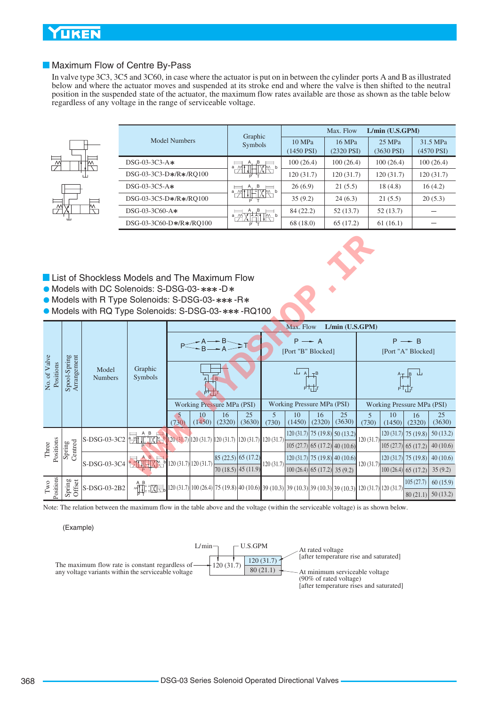## <span id="page-7-0"></span>**UKEN**

### Maximum Flow of Centre By-Pass

In valve type 3C3, 3C5 and 3C60, in case where the actuator is put on in between the cylinder ports A and B as illustrated below and where the actuator moves and suspended at its stroke end and where the valve is then shifted to the neutral position in the suspended state of the actuator, the maximum flow rates available are those as shown as the table below regardless of any voltage in the range of serviceable voltage.



|                         | Graphic                                |                        | Max. Flow                 | $L/min$ (U.S.GPM)      |                          |
|-------------------------|----------------------------------------|------------------------|---------------------------|------------------------|--------------------------|
| Model Numbers           | Symbols                                | 10 MPa<br>$(1450$ PSI) | 16 MPa<br>$(2320$ PSI $)$ | $25$ MPa<br>(3630 PSI) | 31.5 MPa<br>$(4570$ PSI) |
| $DSG-03-3C3-A*$         | A, B<br>$\cdot$ $\sqrt{\frac{M}{N}}$ p | 100(26.4)              | 100(26.4)                 | 100(26.4)              | 100(26.4)                |
| DSG-03-3C3-D*/R*/RO100  | a $\cancel{m}$                         | 120(31.7)              | 120(31.7)                 | 120(31.7)              | 120(31.7)                |
| $DSG-03-3C5-A*$         | ,B<br>Α,<br><b>THIXIN'</b>             | 26(6.9)                | 21(5.5)                   | 18(4.8)                | 16(4.2)                  |
| DSG-03-3C5-D*/R*/RO100  | $\frac{a}{2}$                          | 35(9.2)                | 24(6.3)                   | 21(5.5)                | 20(5.3)                  |
| $DSG-03-3C60-A*$        | A, B<br>∏M b<br>a M                    | 84 (22.2)              | 52(13.7)                  | 52(13.7)               |                          |
| DSG-03-3C60-D*/R*/RO100 |                                        | 68 (18.0)              | 65 (17.2)                 | 61(16.1)               |                          |

- **List of Shockless Models and The Maximum Flow**
- $\bullet$  Models with DC Solenoids: S-DSG-03-\*\*\*-D\*
- Models with R Type Solenoids: S-DSG-03-\*\*\*-R\*
- $\bullet$  Models with RQ Type Solenoids: S-DSG-03-\*\*\*-RQ100



|                           |                             | <b>List of Shockless Models and The Maximum Flow</b><br>• Models with DC Solenoids: S-DSG-03-***-D*<br>Models with R Type Solenoids: S-DSG-03-***-R*<br>• Models with RQ Type Solenoids: S-DSG-03-***-RQ100 |                                                                                                                                                                                                                                                                                                                        |                                                                                                                     |              |                                    |              |            |              |                                             |                 |            |              |                            |              |
|---------------------------|-----------------------------|-------------------------------------------------------------------------------------------------------------------------------------------------------------------------------------------------------------|------------------------------------------------------------------------------------------------------------------------------------------------------------------------------------------------------------------------------------------------------------------------------------------------------------------------|---------------------------------------------------------------------------------------------------------------------|--------------|------------------------------------|--------------|------------|--------------|---------------------------------------------|-----------------|------------|--------------|----------------------------|--------------|
|                           |                             |                                                                                                                                                                                                             |                                                                                                                                                                                                                                                                                                                        |                                                                                                                     |              |                                    |              |            | Max. Flow    |                                             | L/min (U.S.GPM) |            |              |                            |              |
|                           |                             |                                                                                                                                                                                                             |                                                                                                                                                                                                                                                                                                                        | $P \rightarrow A$<br>$P \rightarrow B$<br>[Port "B" Blocked]<br>[Port "A" Blocked]                                  |              |                                    |              |            |              |                                             |                 |            |              |                            |              |
| No. of Valve<br>Positions | Spool-Spring<br>Arrangement | Model<br><b>Numbers</b>                                                                                                                                                                                     | Graphic<br>Symbols                                                                                                                                                                                                                                                                                                     | ابتله<br>$\overline{A}$<br> B <br>$\mathsf{A}$                                                                      |              |                                    |              |            |              |                                             |                 |            |              |                            |              |
|                           |                             |                                                                                                                                                                                                             |                                                                                                                                                                                                                                                                                                                        |                                                                                                                     |              | Working Pressure MPa (PSI)         |              |            |              | Working Pressure MPa (PSI)                  |                 |            |              | Working Pressure MPa (PSI) |              |
|                           |                             |                                                                                                                                                                                                             |                                                                                                                                                                                                                                                                                                                        | (730)                                                                                                               | 10<br>(1450) | 16<br>(2320)                       | 25<br>(3630) | 5<br>(730) | 10<br>(1450) | 16<br>(2320)                                | 25<br>(3630)    | 5<br>(730) | 10<br>(1450) | 16<br>(2320)               | 25<br>(3630) |
|                           |                             | S-DSG-03-3C2                                                                                                                                                                                                | $\frac{1}{2}$ 11, $\frac{1}{1}$ $\frac{1}{1}$ $\frac{1}{1}$ $\frac{1}{1}$ $\frac{1}{1}$ $\frac{1}{1}$ $\frac{1}{2}$ $\frac{1}{2}$ $\frac{1}{2}$ $\frac{1}{2}$ $\frac{1}{2}$ $\frac{1}{2}$ $\frac{1}{2}$ $\frac{1}{2}$ $\frac{1}{2}$ $\frac{1}{2}$ $\frac{1}{2}$ $\frac{1}{2}$ $\frac{1}{2}$ $\frac{1}{2}$ $\frac{1}{2$ |                                                                                                                     |              |                                    |              |            | 120(31.7)    | $75(19.8)$ 50 (13.2)                        |                 | 120(31.7)  |              | $120(31.7)$ 75 (19.8)      | 50(13.2)     |
| Positions<br>Three        | Centred<br>Spring           |                                                                                                                                                                                                             |                                                                                                                                                                                                                                                                                                                        |                                                                                                                     |              |                                    |              |            |              | $105(27.7)$ 65 (17.2) 40 (10.6)             |                 |            |              | $105(27.7)$ 65 (17.2)      | 40(10.6)     |
|                           |                             |                                                                                                                                                                                                             | <b>PATHIX RE</b>                                                                                                                                                                                                                                                                                                       | [120 (31.7) 120 (31.7)]                                                                                             |              | $\left  85(22.5) \right  65(17.2)$ |              |            |              | $120(31.7)$ 75 (19.8) 40 (10.6)             |                 |            |              | $120(31.7)$ 75 (19.8)      | 40(10.6)     |
|                           |                             | S-DSG-03-3C4                                                                                                                                                                                                |                                                                                                                                                                                                                                                                                                                        |                                                                                                                     |              | $70(18.5)$ 45 (11.9)               |              | 120(31.7)  |              | $\left[100(26.4)\right]$ 65 (17.2) 35 (9.2) |                 | 120(31.7)  |              | $100(26.4)$ 65 (17.2)      | 35(9.2)      |
| Positions<br>$_{\rm Two}$ | Spring<br>Offset            | S-DSG-03-2B2                                                                                                                                                                                                | 州陆区                                                                                                                                                                                                                                                                                                                    |                                                                                                                     |              |                                    |              |            |              |                                             |                 |            |              | 105(27.7)                  | 60(15.9)     |
|                           |                             |                                                                                                                                                                                                             |                                                                                                                                                                                                                                                                                                                        | 120 (31.7) 100 (26.4) 75 (19.8) 40 (10.6) 39 (10.3) 39 (10.3) 39 (10.3) 39 (10.3) 120 (31.7) 120 (31.7)<br>80(21.1) |              |                                    |              |            |              |                                             |                 |            | 50(13.2)     |                            |              |

Note: The relation between the maximum flow in the table above and the voltage (within the serviceable voltage) is as shown below.

(Example)

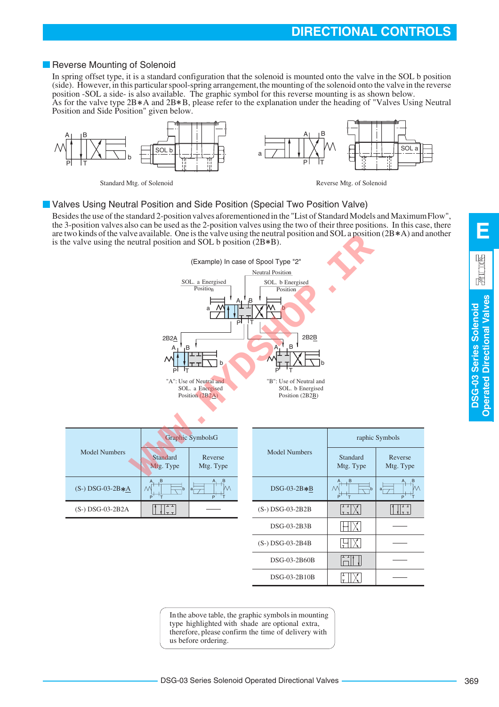In the above table, the graphic symbols in mounting type highlighted with shade are optional extra, therefore, please confirm the time of delivery with

## **DIRECTIONAL CONTROLS**

### <span id="page-8-0"></span>Reverse Mounting of Solenoid

In spring offset type, it is a standard configuration that the solenoid is mounted onto the valve in the SOL b position (side). However, in this particular spool-spring arrangement, the mounting of the solenoid onto the valve in the reverse position -SOL a side- is also available. The graphic symbol for this reverse mounting is as shown below. As for the valve type  $2B*A$  and  $2B*B$ , please refer to the explanation under the heading of "Valves Using Neutral



Standard Mtg. of Solenoid Reverse Mtg. of Solenoid

### **U** Valves Using Neutral Position and Side Position (Special Two Position Valve)

Besides the use of the standard 2-position valves aforementioned in the "List of Standard Models and Maximum Flow", the 3-position valves also can be used as the 2-position valves using the two of their three positions. In this case, there are two kinds of the valve available. One is the valve using the neutral position and SOL a position  $(2B*A)$  and another is the valve using the neutral position and SOL b position  $(2B*B)$ .



369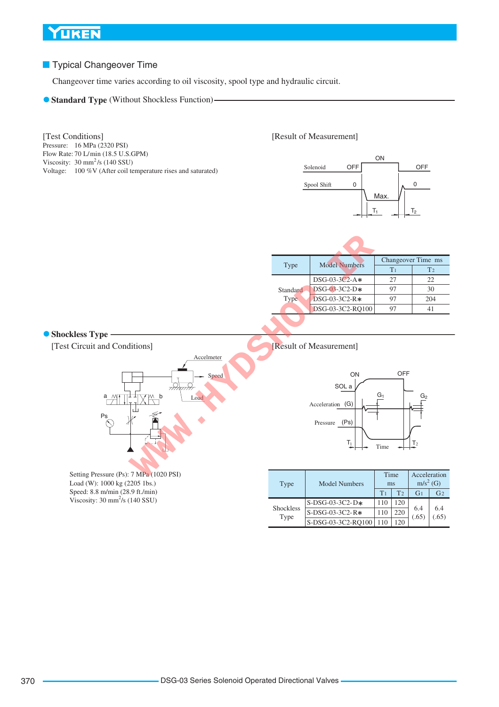## **Typical Changeover Time**

Changeover time varies according to oil viscosity, spool type and hydraulic circuit.

**Standard Type** (Without Shockless Function)-

#### Pressure: 16 MPa (2320 PSI) Flow Rate: 70 L/min (18.5 U.S.GPM)<br>Viscosity: 30 mm<sup>2</sup>/s (140 SSU) Voltage: 100 %V (After coil temperature rises and saturated) [Test Conditions] Flow Rate: 70 L/min (18.5 U.S.GPM)

#### [Result of Measurement]



| Type             | <b>Model Numbers</b> | Changeover Time ms |                |  |  |  |  |
|------------------|----------------------|--------------------|----------------|--|--|--|--|
|                  |                      | T <sub>1</sub>     | T <sub>2</sub> |  |  |  |  |
| Standard<br>Type | $DSG-03-3C2-A*$      | 27                 | 22.            |  |  |  |  |
|                  | $DSG-03-3C2-D*$      | 97                 | 30             |  |  |  |  |
|                  | DSG-03-3C2-R*        | 97                 | 204            |  |  |  |  |
|                  | DSG-03-3C2-RO100     | $9^{\prime}$       |                |  |  |  |  |
|                  |                      |                    |                |  |  |  |  |

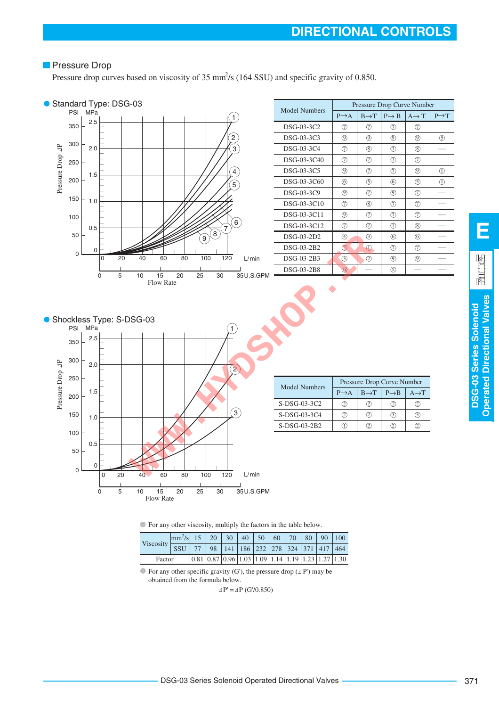## **Pressure Drop**

Pressure drop curves based on viscosity of 35 mm<sup>2</sup>/s (164 SSU) and specific gravity of 0.850.



For any other viscosity, multiply the factors in the table below.

| Viscosity $\vdash$ | $\left \frac{mm^2}{s}\right $ 15   20   30   40   50   60   70   80   90   100 |  |  |                                                                                                                                |  |                                       |
|--------------------|--------------------------------------------------------------------------------|--|--|--------------------------------------------------------------------------------------------------------------------------------|--|---------------------------------------|
|                    | $\overline{\text{ssu}}$                                                        |  |  |                                                                                                                                |  | 77 98 141 186 232 278 324 371 417 464 |
| Factor             |                                                                                |  |  | $\left  0.81 \right  0.87 \left  0.96 \right  1.03 \left  1.09 \right  1.14 \left  1.19 \right  1.23 \left  1.27 \right  1.30$ |  |                                       |

 $\bullet$  For any other specific gravity (G'), the pressure drop ( $\Delta P'$ ) may be obtained from the formula below.

 $\Delta P' = \Delta P$  (G'/0.850)

**DSG-03 Series Solenoid Operated Directional Valves**

**DSG-03 Series Solenoid**<br>Operated Directional Valves

**E**

 $\frac{1}{2}$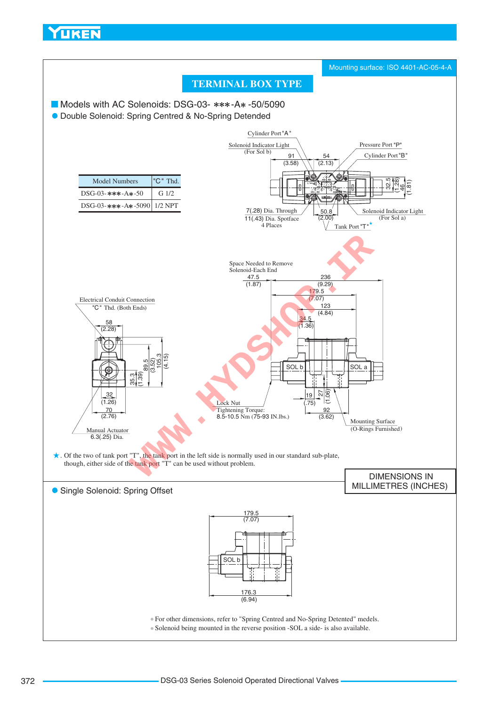<span id="page-11-0"></span>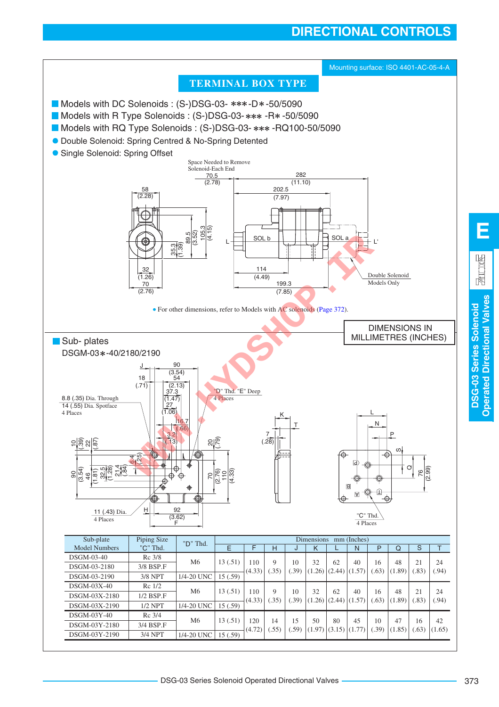# **DIRECTIONAL CONTROLS**



**Operated Directional Valves**

**Operated Directional Valves**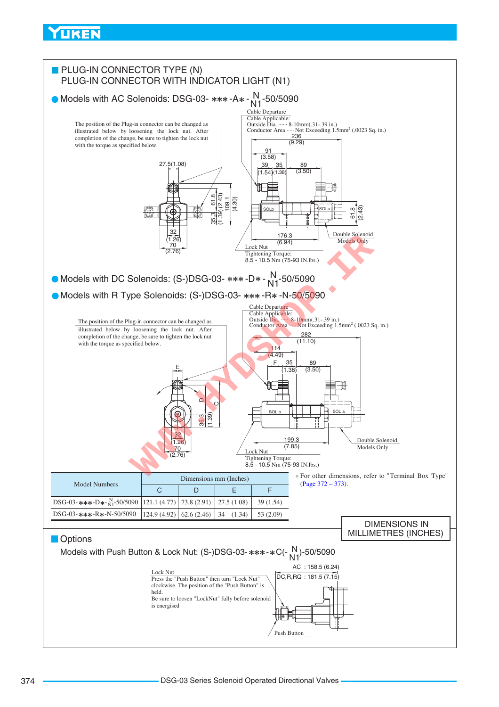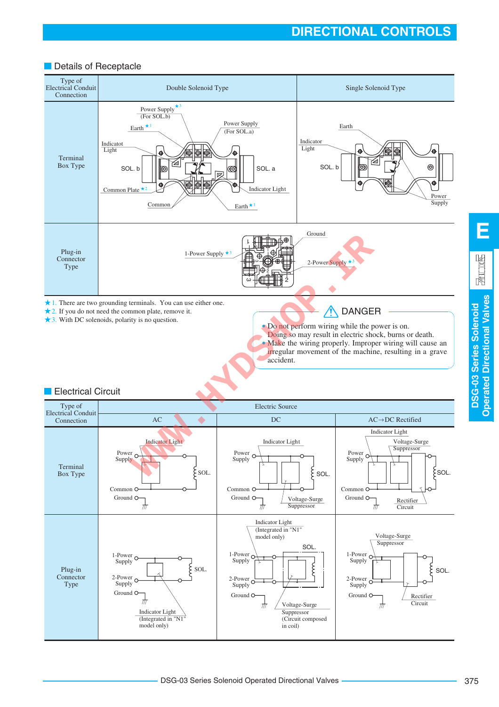## Details of Receptacle



**DSG-03 Series Solenoid Operated Directional Valves**

**Operated Directional Valves** DSG-03 Series Solenoid

**E**

园 汉图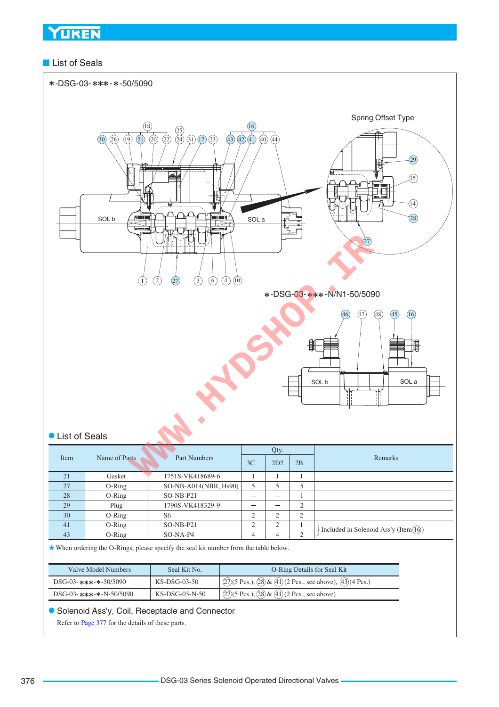## ■ List of Seals



| Valve Model Numbers      | Seal Kit No.     | <b>O-Ring Details for Seal Kit</b>                                                                                        |
|--------------------------|------------------|---------------------------------------------------------------------------------------------------------------------------|
| DSG-03-***-*-50/5090     | KS-DSG-03-50     | $\sqrt{(27)(5 \text{ Pcs.})$ , $\sqrt{(28)} \& \sqrt{(41)} (2 \text{ Pcs.})$ , see above), $\sqrt{(43)} (4 \text{ Pcs.})$ |
| $DSG-03-***-8-N-50/5090$ | $KS-DSG-03-N-50$ | $\sqrt{(27)(5 \text{ Pcs.})$ , $\sqrt{(28)} \& \sqrt{(41)} (2 \text{ Pcs.})$ , see above)                                 |

Solenoid Ass'y, Coil, Receptacle and Connector

Refer to [Page 377](#page-16-0) for the details of these parts.